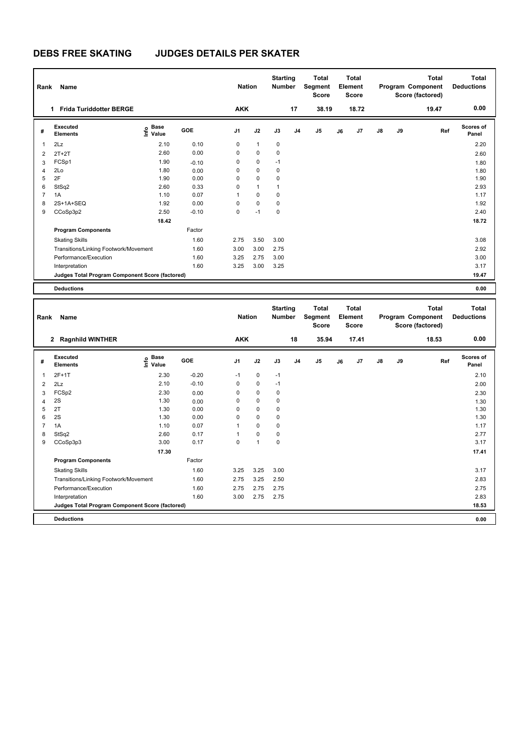| Rank                         | Name                                                                 |                   |              | <b>Nation</b>              |                | <b>Starting</b><br>Number  |                | <b>Total</b><br>Segment<br>Score |    | Total<br>Element<br>Score |    |    | <b>Total</b><br>Program Component<br>Score (factored) | <b>Total</b><br><b>Deductions</b> |
|------------------------------|----------------------------------------------------------------------|-------------------|--------------|----------------------------|----------------|----------------------------|----------------|----------------------------------|----|---------------------------|----|----|-------------------------------------------------------|-----------------------------------|
|                              | 1 Frida Turiddotter BERGE                                            |                   |              | <b>AKK</b>                 |                |                            | 17             | 38.19                            |    | 18.72                     |    |    | 19.47                                                 | 0.00                              |
| #                            | <b>Executed</b><br><b>Elements</b>                                   | e Base<br>⊆ Value | GOE          | J1                         | J2             | J3                         | J4             | J5                               | J6 | J7                        | J8 | J9 | Ref                                                   | Scores of<br>Panel                |
| 1                            | 2Lz                                                                  | 2.10              | 0.10         | 0                          | $\mathbf{1}$   | 0                          |                |                                  |    |                           |    |    |                                                       | 2.20                              |
| $\overline{\mathbf{c}}$      | $2T+2T$                                                              | 2.60              | 0.00         | $\mathbf 0$                | 0              | 0                          |                |                                  |    |                           |    |    |                                                       | 2.60                              |
| 3                            | FCSp1                                                                | 1.90              | $-0.10$      | 0                          | 0              | $-1$                       |                |                                  |    |                           |    |    |                                                       | 1.80                              |
| 4                            | 2Lo                                                                  | 1.80              | 0.00         | $\mathbf 0$                | 0              | 0                          |                |                                  |    |                           |    |    |                                                       | 1.80                              |
| 5                            | 2F                                                                   | 1.90              | 0.00         | $\mathbf 0$                | 0              | $\mathbf 0$                |                |                                  |    |                           |    |    |                                                       | 1.90                              |
| 6                            | StSq2                                                                | 2.60              | 0.33         | $\mathbf 0$                | $\mathbf{1}$   | $\mathbf{1}$               |                |                                  |    |                           |    |    |                                                       | 2.93                              |
| $\overline{7}$               | 1A                                                                   | 1.10              | 0.07         | $\mathbf{1}$               | 0              | $\mathbf 0$                |                |                                  |    |                           |    |    |                                                       | 1.17                              |
| 8                            | 2S+1A+SEQ                                                            | 1.92              | 0.00         | $\mathbf 0$                | $\pmb{0}$      | $\mathbf 0$                |                |                                  |    |                           |    |    |                                                       | 1.92                              |
| 9                            | CCoSp3p2                                                             | 2.50              | $-0.10$      | $\mathbf 0$                | $-1$           | $\mathbf 0$                |                |                                  |    |                           |    |    |                                                       | 2.40                              |
|                              |                                                                      | 18.42             |              |                            |                |                            |                |                                  |    |                           |    |    |                                                       | 18.72                             |
|                              | <b>Program Components</b>                                            |                   | Factor       |                            |                |                            |                |                                  |    |                           |    |    |                                                       |                                   |
|                              | <b>Skating Skills</b>                                                |                   | 1.60         | 2.75                       | 3.50           | 3.00                       |                |                                  |    |                           |    |    |                                                       | 3.08                              |
|                              | Transitions/Linking Footwork/Movement                                |                   | 1.60         | 3.00                       | 3.00           | 2.75                       |                |                                  |    |                           |    |    |                                                       | 2.92                              |
|                              | Performance/Execution                                                |                   | 1.60         | 3.25                       | 2.75           | 3.00                       |                |                                  |    |                           |    |    |                                                       | 3.00                              |
|                              | Interpretation                                                       |                   | 1.60         | 3.25                       | 3.00           | 3.25                       |                |                                  |    |                           |    |    |                                                       | 3.17                              |
|                              | Judges Total Program Component Score (factored)                      |                   |              |                            |                |                            |                |                                  |    |                           |    |    |                                                       | 19.47                             |
|                              |                                                                      |                   |              |                            |                |                            |                |                                  |    |                           |    |    |                                                       |                                   |
|                              | <b>Deductions</b>                                                    |                   |              |                            |                |                            |                |                                  |    |                           |    |    |                                                       | 0.00                              |
|                              |                                                                      |                   |              |                            |                |                            |                |                                  |    |                           |    |    |                                                       |                                   |
|                              |                                                                      |                   |              |                            |                | <b>Starting</b>            |                | <b>Total</b>                     |    | <b>Total</b>              |    |    | <b>Total</b>                                          | <b>Total</b>                      |
| Rank                         | Name                                                                 |                   |              | <b>Nation</b>              |                | <b>Number</b>              |                | Segment<br><b>Score</b>          |    | Element<br><b>Score</b>   |    |    | Program Component<br>Score (factored)                 | <b>Deductions</b>                 |
|                              | 2 Ragnhild WINTHER                                                   |                   |              | <b>AKK</b>                 |                |                            | 18             | 35.94                            |    | 17.41                     |    |    | 18.53                                                 | 0.00                              |
| #                            | <b>Executed</b><br><b>Elements</b>                                   | e Base<br>E Value | GOE          | J1                         | J2             | J3                         | J <sub>4</sub> | J5                               | J6 | J7                        | J8 | J9 | Ref                                                   | Scores of<br>Panel                |
| 1                            | $2F+1T$                                                              |                   |              | $-1$                       | 0              | $-1$                       |                |                                  |    |                           |    |    |                                                       | 2.10                              |
|                              |                                                                      | 2.30              | $-0.20$      | 0                          | 0              | $-1$                       |                |                                  |    |                           |    |    |                                                       |                                   |
| $\overline{2}$               | 2Lz                                                                  | 2.10              | $-0.10$      |                            |                |                            |                |                                  |    |                           |    |    |                                                       | 2.00                              |
| 3                            | FCSp2                                                                | 2.30              | 0.00         | $\mathbf 0$<br>$\mathbf 0$ | $\pmb{0}$<br>0 | $\mathbf 0$<br>$\mathbf 0$ |                |                                  |    |                           |    |    |                                                       | 2.30                              |
| $\overline{\mathbf{4}}$<br>5 | 2S<br>2T                                                             | 1.30<br>1.30      | 0.00<br>0.00 | $\mathbf 0$                | 0              | $\mathbf 0$                |                |                                  |    |                           |    |    |                                                       | 1.30                              |
| 6                            | 2S                                                                   | 1.30              | 0.00         | $\mathbf 0$                | 0              | $\mathbf 0$                |                |                                  |    |                           |    |    |                                                       | 1.30<br>1.30                      |
| $\overline{7}$               | 1A                                                                   | 1.10              | 0.07         | $\mathbf{1}$               | 0              | $\mathbf 0$                |                |                                  |    |                           |    |    |                                                       | 1.17                              |
| 8                            | StSq2                                                                | 2.60              | 0.17         | $\mathbf{1}$               | 0              | $\mathbf 0$                |                |                                  |    |                           |    |    |                                                       | 2.77                              |
| 9                            | CCoSp3p3                                                             | 3.00              | 0.17         | $\mathbf 0$                | $\mathbf{1}$   | $\mathbf 0$                |                |                                  |    |                           |    |    |                                                       | 3.17                              |
|                              |                                                                      | 17.30             |              |                            |                |                            |                |                                  |    |                           |    |    |                                                       | 17.41                             |
|                              | <b>Program Components</b>                                            |                   | Factor       |                            |                |                            |                |                                  |    |                           |    |    |                                                       |                                   |
|                              |                                                                      |                   |              |                            |                |                            |                |                                  |    |                           |    |    |                                                       |                                   |
|                              | <b>Skating Skills</b>                                                |                   | 1.60         | 3.25                       | 3.25           | 3.00                       |                |                                  |    |                           |    |    |                                                       | 3.17                              |
|                              | Transitions/Linking Footwork/Movement                                |                   | 1.60         | 2.75                       | 3.25           | 2.50                       |                |                                  |    |                           |    |    |                                                       | 2.83                              |
|                              | Performance/Execution                                                |                   | 1.60<br>1.60 | 2.75                       | 2.75           | 2.75                       |                |                                  |    |                           |    |    |                                                       | 2.75                              |
|                              | Interpretation                                                       |                   |              | 3.00                       | 2.75           | 2.75                       |                |                                  |    |                           |    |    |                                                       | 2.83                              |
|                              | Judges Total Program Component Score (factored)<br><b>Deductions</b> |                   |              |                            |                |                            |                |                                  |    |                           |    |    |                                                       | 18.53<br>0.00                     |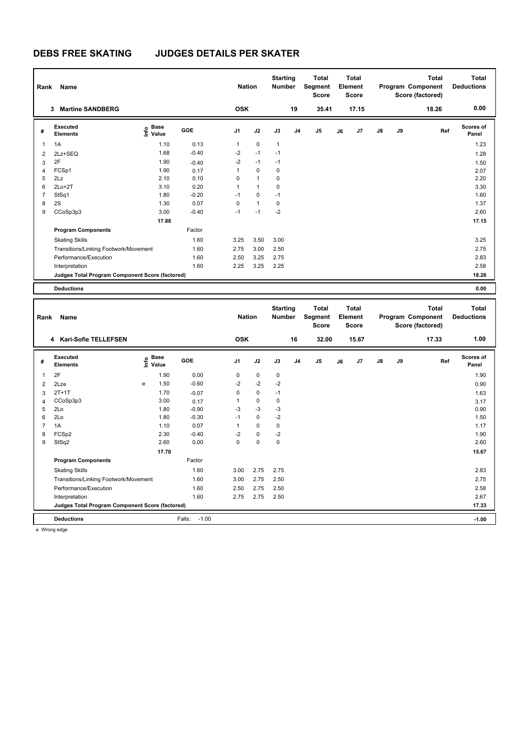| Rank           | Name                                            |                   |         | <b>Nation</b> |              | <b>Starting</b><br><b>Number</b> |                | Total<br>Segment<br>Score |    | Total<br>Element<br><b>Score</b> |    |    | <b>Total</b><br>Program Component<br>Score (factored) | <b>Total</b><br><b>Deductions</b> |
|----------------|-------------------------------------------------|-------------------|---------|---------------|--------------|----------------------------------|----------------|---------------------------|----|----------------------------------|----|----|-------------------------------------------------------|-----------------------------------|
|                | 3 Martine SANDBERG                              |                   |         | <b>OSK</b>    |              |                                  | 19             | 35.41                     |    | 17.15                            |    |    | 18.26                                                 | 0.00                              |
| #              | <b>Executed</b><br><b>Elements</b>              | e Base<br>⊆ Value | GOE     | J1            | J2           | J3                               | J <sub>4</sub> | J5                        | J6 | J7                               | J8 | J9 | Ref                                                   | <b>Scores of</b><br>Panel         |
| 1              | 1A                                              | 1.10              | 0.13    | $\mathbf{1}$  | $\mathbf 0$  | $\mathbf{1}$                     |                |                           |    |                                  |    |    |                                                       | 1.23                              |
| $\overline{2}$ | 2Lz+SEQ                                         | 1.68              | $-0.40$ | $-2$          | $-1$         | $-1$                             |                |                           |    |                                  |    |    |                                                       | 1.28                              |
| 3              | 2F                                              | 1.90              | $-0.40$ | $-2$          | $-1$         | $-1$                             |                |                           |    |                                  |    |    |                                                       | 1.50                              |
| $\overline{4}$ | FCSp1                                           | 1.90              | 0.17    | $\mathbf{1}$  | $\pmb{0}$    | $\mathbf 0$                      |                |                           |    |                                  |    |    |                                                       | 2.07                              |
| 5              | 2Lz                                             | 2.10              | 0.10    | $\mathbf 0$   | $\mathbf{1}$ | 0                                |                |                           |    |                                  |    |    |                                                       | 2.20                              |
| 6              | $2Lo+2T$                                        | 3.10              | 0.20    | $\mathbf{1}$  | $\mathbf{1}$ | $\mathbf 0$                      |                |                           |    |                                  |    |    |                                                       | 3.30                              |
| $\overline{7}$ | StSq1                                           | 1.80              | $-0.20$ | $-1$          | $\mathbf 0$  | $-1$                             |                |                           |    |                                  |    |    |                                                       | 1.60                              |
| 8              | 2S                                              | 1.30              | 0.07    | $\mathbf 0$   | $\mathbf{1}$ | $\mathbf 0$                      |                |                           |    |                                  |    |    |                                                       | 1.37                              |
| 9              | CCoSp3p3                                        | 3.00              | $-0.40$ | $-1$          | $-1$         | $-2$                             |                |                           |    |                                  |    |    |                                                       | 2.60                              |
|                |                                                 | 17.88             |         |               |              |                                  |                |                           |    |                                  |    |    |                                                       | 17.15                             |
|                | <b>Program Components</b>                       |                   | Factor  |               |              |                                  |                |                           |    |                                  |    |    |                                                       |                                   |
|                | <b>Skating Skills</b>                           |                   | 1.60    | 3.25          | 3.50         | 3.00                             |                |                           |    |                                  |    |    |                                                       | 3.25                              |
|                | Transitions/Linking Footwork/Movement           |                   | 1.60    | 2.75          | 3.00         | 2.50                             |                |                           |    |                                  |    |    |                                                       | 2.75                              |
|                | Performance/Execution                           |                   | 1.60    | 2.50          | 3.25         | 2.75                             |                |                           |    |                                  |    |    |                                                       | 2.83                              |
|                | Interpretation                                  |                   | 1.60    | 2.25          | 3.25         | 2.25                             |                |                           |    |                                  |    |    |                                                       | 2.58                              |
|                | Judges Total Program Component Score (factored) |                   |         |               |              |                                  |                |                           |    |                                  |    |    |                                                       | 18.26                             |
|                |                                                 |                   |         |               |              |                                  |                |                           |    |                                  |    |    |                                                       |                                   |
|                | <b>Deductions</b>                               |                   |         |               |              |                                  |                |                           |    |                                  |    |    |                                                       | 0.00                              |
|                |                                                 |                   |         |               |              |                                  |                |                           |    |                                  |    |    |                                                       |                                   |
|                |                                                 |                   |         |               |              |                                  |                |                           |    |                                  |    |    |                                                       |                                   |
|                |                                                 |                   |         |               |              | <b>Starting</b>                  |                | <b>Total</b>              |    | <b>Total</b>                     |    |    | <b>Total</b>                                          | <b>Total</b>                      |
| Rank           | Name                                            |                   |         | <b>Nation</b> |              | <b>Number</b>                    |                | Segment                   |    | Element                          |    |    | Program Component                                     | <b>Deductions</b>                 |
|                |                                                 |                   |         |               |              |                                  |                | Score                     |    | Score                            |    |    | Score (factored)                                      |                                   |
|                | 4 Kari-Sofie TELLEFSEN                          |                   |         | <b>OSK</b>    |              |                                  | 16             | 32.00                     |    | 15.67                            |    |    | 17.33                                                 | 1.00                              |
|                | <b>Executed</b>                                 |                   | GOE     |               |              |                                  |                |                           |    |                                  |    |    |                                                       | <b>Scores of</b>                  |
| #              | <b>Elements</b>                                 | e Base<br>⊆ Value |         | J1            | J2           | J3                               | J <sub>4</sub> | J5                        | J6 | J7                               | J8 | J9 | Ref                                                   | Panel                             |
| 1              | 2F                                              | 1.90              | 0.00    | $\mathbf 0$   | $\pmb{0}$    | 0                                |                |                           |    |                                  |    |    |                                                       | 1.90                              |
| $\overline{2}$ | 2Lze                                            | 1.50<br>e         | $-0.60$ | $-2$          | $-2$         | $-2$                             |                |                           |    |                                  |    |    |                                                       | 0.90                              |
| 3              | $2T+1T$                                         | 1.70              | $-0.07$ | $\mathbf 0$   | $\pmb{0}$    | $-1$                             |                |                           |    |                                  |    |    |                                                       | 1.63                              |
| 4              | CCoSp3p3                                        | 3.00              | 0.17    | $\mathbf{1}$  | $\mathbf 0$  | $\mathbf 0$                      |                |                           |    |                                  |    |    |                                                       | 3.17                              |
| 5              | 2Lo                                             | 1.80              | $-0.90$ | -3            | $-3$         | $-3$                             |                |                           |    |                                  |    |    |                                                       | 0.90                              |
| 6              | 2Lo                                             | 1.80              | $-0.30$ | $-1$          | $\pmb{0}$    | $-2$                             |                |                           |    |                                  |    |    |                                                       | 1.50                              |
| $\overline{7}$ | 1A                                              | 1.10              | 0.07    | $\mathbf{1}$  | $\mathbf 0$  | $\mathbf 0$                      |                |                           |    |                                  |    |    |                                                       | 1.17                              |
| 8              | FCSp2                                           | 2.30              | $-0.40$ | $-2$          | $\pmb{0}$    | $-2$                             |                |                           |    |                                  |    |    |                                                       | 1.90                              |
| 9              | StSq2                                           | 2.60              | 0.00    | $\mathbf 0$   | 0            | $\mathbf 0$                      |                |                           |    |                                  |    |    |                                                       | 2.60                              |
|                |                                                 | 17.70             |         |               |              |                                  |                |                           |    |                                  |    |    |                                                       | 15.67                             |
|                | <b>Program Components</b>                       |                   | Factor  |               |              |                                  |                |                           |    |                                  |    |    |                                                       |                                   |
|                | <b>Skating Skills</b>                           |                   | 1.60    | 3.00          | 2.75         | 2.75                             |                |                           |    |                                  |    |    |                                                       | 2.83                              |
|                | Transitions/Linking Footwork/Movement           |                   | 1.60    | 3.00          | 2.75         | 2.50                             |                |                           |    |                                  |    |    |                                                       | 2.75                              |
|                | Performance/Execution                           |                   | 1.60    | 2.50          | 2.75         | 2.50                             |                |                           |    |                                  |    |    |                                                       | 2.58                              |
|                | Interpretation                                  |                   | 1.60    | 2.75          | 2.75         | 2.50                             |                |                           |    |                                  |    |    |                                                       | 2.67                              |

**Deductions** Falls: -1.00 **-1.00**

e Wrong edge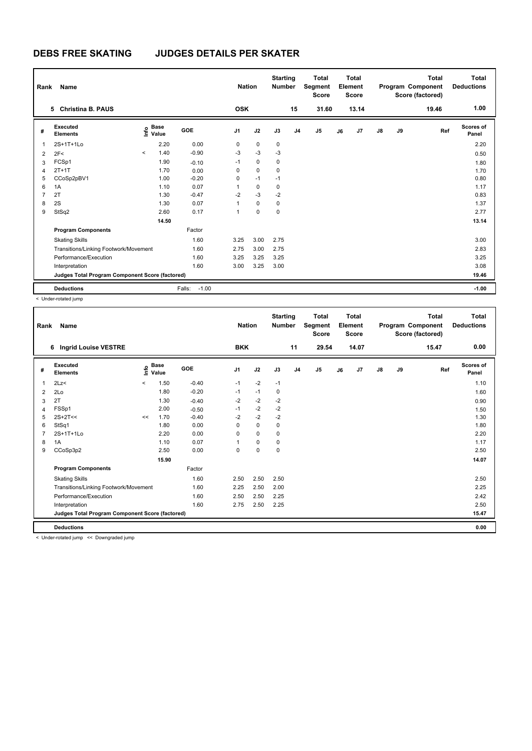| Rank           | Name                                            |           |                      |                   | <b>Nation</b>  |              | <b>Starting</b><br><b>Number</b> |                | <b>Total</b><br>Segment<br><b>Score</b> |    | <b>Total</b><br>Element<br><b>Score</b> |               |    | Total<br>Program Component<br>Score (factored) | Total<br><b>Deductions</b> |
|----------------|-------------------------------------------------|-----------|----------------------|-------------------|----------------|--------------|----------------------------------|----------------|-----------------------------------------|----|-----------------------------------------|---------------|----|------------------------------------------------|----------------------------|
|                | <b>Christina B. PAUS</b><br>5.                  |           |                      |                   | <b>OSK</b>     |              |                                  | 15             | 31.60                                   |    | 13.14                                   |               |    | 19.46                                          | 1.00                       |
| #              | Executed<br><b>Elements</b>                     | lnfo      | <b>Base</b><br>Value | GOE               | J <sub>1</sub> | J2           | J3                               | J <sub>4</sub> | J5                                      | J6 | J7                                      | $\mathsf{J}8$ | J9 | Ref                                            | Scores of<br>Panel         |
| $\mathbf 1$    | 2S+1T+1Lo                                       |           | 2.20                 | 0.00              | 0              | 0            | $\pmb{0}$                        |                |                                         |    |                                         |               |    |                                                | 2.20                       |
| $\overline{2}$ | 2F<                                             | $\hat{~}$ | 1.40                 | $-0.90$           | $-3$           | $-3$         | $-3$                             |                |                                         |    |                                         |               |    |                                                | 0.50                       |
| 3              | FCSp1                                           |           | 1.90                 | $-0.10$           | $-1$           | $\mathbf 0$  | 0                                |                |                                         |    |                                         |               |    |                                                | 1.80                       |
| $\overline{4}$ | $2T+1T$                                         |           | 1.70                 | 0.00              | 0              | $\mathbf 0$  | 0                                |                |                                         |    |                                         |               |    |                                                | 1.70                       |
| 5              | CCoSp2pBV1                                      |           | 1.00                 | $-0.20$           | 0              | $-1$         | $-1$                             |                |                                         |    |                                         |               |    |                                                | 0.80                       |
| 6              | 1A                                              |           | 1.10                 | 0.07              | 1              | $\mathbf 0$  | 0                                |                |                                         |    |                                         |               |    |                                                | 1.17                       |
| 7              | 2T                                              |           | 1.30                 | $-0.47$           | $-2$           | $-3$         | $-2$                             |                |                                         |    |                                         |               |    |                                                | 0.83                       |
| 8              | 2S                                              |           | 1.30                 | 0.07              | $\mathbf{1}$   | $\mathbf{0}$ | $\mathbf 0$                      |                |                                         |    |                                         |               |    |                                                | 1.37                       |
| 9              | StSq2                                           |           | 2.60                 | 0.17              | 1              | $\mathbf 0$  | 0                                |                |                                         |    |                                         |               |    |                                                | 2.77                       |
|                |                                                 |           | 14.50                |                   |                |              |                                  |                |                                         |    |                                         |               |    |                                                | 13.14                      |
|                | <b>Program Components</b>                       |           |                      | Factor            |                |              |                                  |                |                                         |    |                                         |               |    |                                                |                            |
|                | <b>Skating Skills</b>                           |           |                      | 1.60              | 3.25           | 3.00         | 2.75                             |                |                                         |    |                                         |               |    |                                                | 3.00                       |
|                | Transitions/Linking Footwork/Movement           |           |                      | 1.60              | 2.75           | 3.00         | 2.75                             |                |                                         |    |                                         |               |    |                                                | 2.83                       |
|                | Performance/Execution                           |           |                      | 1.60              | 3.25           | 3.25         | 3.25                             |                |                                         |    |                                         |               |    |                                                | 3.25                       |
|                | Interpretation                                  |           |                      | 1.60              | 3.00           | 3.25         | 3.00                             |                |                                         |    |                                         |               |    |                                                | 3.08                       |
|                | Judges Total Program Component Score (factored) |           |                      |                   |                |              |                                  |                |                                         |    |                                         |               |    |                                                | 19.46                      |
|                | <b>Deductions</b>                               |           |                      | $-1.00$<br>Falls: |                |              |                                  |                |                                         |    |                                         |               |    |                                                | $-1.00$                    |

< Under-rotated jump

| Rank | <b>Name</b>                                     |         |                            |            | <b>Nation</b>  |             | <b>Starting</b><br><b>Number</b> |                | <b>Total</b><br>Segment<br><b>Score</b> |    | <b>Total</b><br>Element<br><b>Score</b> |               |    | <b>Total</b><br>Program Component<br>Score (factored) | Total<br><b>Deductions</b> |
|------|-------------------------------------------------|---------|----------------------------|------------|----------------|-------------|----------------------------------|----------------|-----------------------------------------|----|-----------------------------------------|---------------|----|-------------------------------------------------------|----------------------------|
|      | <b>Ingrid Louise VESTRE</b><br>6                |         |                            |            | <b>BKK</b>     |             |                                  | 11             | 29.54                                   |    | 14.07                                   |               |    | 15.47                                                 | 0.00                       |
| #    | Executed<br><b>Elements</b>                     |         | e Base<br>⊆ Value<br>Value | <b>GOE</b> | J <sub>1</sub> | J2          | J3                               | J <sub>4</sub> | J <sub>5</sub>                          | J6 | J7                                      | $\mathsf{J}8$ | J9 | Ref                                                   | <b>Scores of</b><br>Panel  |
| 1    | 2Lz                                             | $\prec$ | 1.50                       | $-0.40$    | $-1$           | $-2$        | $-1$                             |                |                                         |    |                                         |               |    |                                                       | 1.10                       |
| 2    | 2Lo                                             |         | 1.80                       | $-0.20$    | $-1$           | $-1$        | 0                                |                |                                         |    |                                         |               |    |                                                       | 1.60                       |
| 3    | 2T                                              |         | 1.30                       | $-0.40$    | $-2$           | $-2$        | $-2$                             |                |                                         |    |                                         |               |    |                                                       | 0.90                       |
| 4    | FSSp1                                           |         | 2.00                       | $-0.50$    | $-1$           | $-2$        | $-2$                             |                |                                         |    |                                         |               |    |                                                       | 1.50                       |
| 5    | $2S+2T<<$                                       | <<      | 1.70                       | $-0.40$    | $-2$           | $-2$        | $-2$                             |                |                                         |    |                                         |               |    |                                                       | 1.30                       |
| 6    | StSq1                                           |         | 1.80                       | 0.00       | 0              | $\mathbf 0$ | 0                                |                |                                         |    |                                         |               |    |                                                       | 1.80                       |
|      | 2S+1T+1Lo                                       |         | 2.20                       | 0.00       | 0              | 0           | 0                                |                |                                         |    |                                         |               |    |                                                       | 2.20                       |
| 8    | 1A                                              |         | 1.10                       | 0.07       |                | $\mathbf 0$ | $\mathbf 0$                      |                |                                         |    |                                         |               |    |                                                       | 1.17                       |
| 9    | CCoSp3p2                                        |         | 2.50                       | 0.00       | $\Omega$       | $\mathbf 0$ | 0                                |                |                                         |    |                                         |               |    |                                                       | 2.50                       |
|      |                                                 |         | 15.90                      |            |                |             |                                  |                |                                         |    |                                         |               |    |                                                       | 14.07                      |
|      | <b>Program Components</b>                       |         |                            | Factor     |                |             |                                  |                |                                         |    |                                         |               |    |                                                       |                            |
|      | <b>Skating Skills</b>                           |         |                            | 1.60       | 2.50           | 2.50        | 2.50                             |                |                                         |    |                                         |               |    |                                                       | 2.50                       |
|      | Transitions/Linking Footwork/Movement           |         |                            | 1.60       | 2.25           | 2.50        | 2.00                             |                |                                         |    |                                         |               |    |                                                       | 2.25                       |
|      | Performance/Execution                           |         |                            | 1.60       | 2.50           | 2.50        | 2.25                             |                |                                         |    |                                         |               |    |                                                       | 2.42                       |
|      | Interpretation                                  |         |                            | 1.60       | 2.75           | 2.50        | 2.25                             |                |                                         |    |                                         |               |    |                                                       | 2.50                       |
|      | Judges Total Program Component Score (factored) |         |                            |            |                |             |                                  |                |                                         |    |                                         |               |    |                                                       | 15.47                      |
|      | <b>Deductions</b>                               |         |                            |            |                |             |                                  |                |                                         |    |                                         |               |    |                                                       | 0.00                       |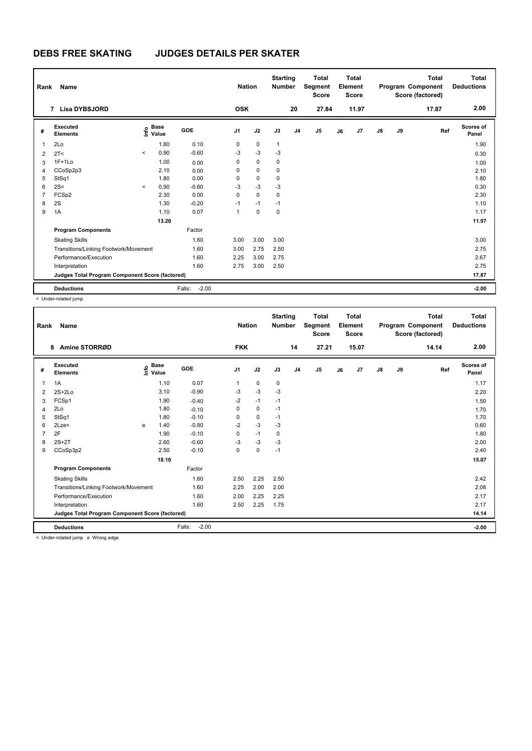| Rank           | Name                                            |                          |                                             |                   | <b>Nation</b> |             | <b>Starting</b><br><b>Number</b> |                | Total<br>Segment<br><b>Score</b> |    | <b>Total</b><br>Element<br><b>Score</b> |               |    | <b>Total</b><br>Program Component<br>Score (factored) | Total<br><b>Deductions</b> |
|----------------|-------------------------------------------------|--------------------------|---------------------------------------------|-------------------|---------------|-------------|----------------------------------|----------------|----------------------------------|----|-----------------------------------------|---------------|----|-------------------------------------------------------|----------------------------|
|                | 7 Lisa DYBSJORD                                 |                          |                                             |                   | <b>OSK</b>    |             |                                  | 20             | 27.84                            |    | 11.97                                   |               |    | 17.87                                                 | 2.00                       |
| #              | Executed<br><b>Elements</b>                     |                          | <b>Base</b><br>e <sup>Base</sup><br>⊆ Value | GOE               | J1            | J2          | J3                               | J <sub>4</sub> | J <sub>5</sub>                   | J6 | J7                                      | $\mathsf{J}8$ | J9 | Ref                                                   | Scores of<br>Panel         |
| 1              | 2Lo                                             |                          | 1.80                                        | 0.10              | 0             | 0           | $\mathbf{1}$                     |                |                                  |    |                                         |               |    |                                                       | 1.90                       |
| 2              | 2T <                                            | $\hat{\phantom{a}}$      | 0.90                                        | $-0.60$           | $-3$          | $-3$        | $-3$                             |                |                                  |    |                                         |               |    |                                                       | 0.30                       |
| 3              | $1F+1Lo$                                        |                          | 1.00                                        | 0.00              | 0             | $\mathbf 0$ | 0                                |                |                                  |    |                                         |               |    |                                                       | 1.00                       |
| 4              | CCoSp2p3                                        |                          | 2.10                                        | 0.00              | 0             | 0           | 0                                |                |                                  |    |                                         |               |    |                                                       | 2.10                       |
| 5              | StSq1                                           |                          | 1.80                                        | 0.00              | 0             | 0           | 0                                |                |                                  |    |                                         |               |    |                                                       | 1.80                       |
| 6              | 2S<                                             | $\overline{\phantom{a}}$ | 0.90                                        | $-0.60$           | $-3$          | $-3$        | $-3$                             |                |                                  |    |                                         |               |    |                                                       | 0.30                       |
| $\overline{7}$ | FCSp2                                           |                          | 2.30                                        | 0.00              | 0             | $\mathbf 0$ | 0                                |                |                                  |    |                                         |               |    |                                                       | 2.30                       |
| 8              | 2S                                              |                          | 1.30                                        | $-0.20$           | $-1$          | $-1$        | $-1$                             |                |                                  |    |                                         |               |    |                                                       | 1.10                       |
| 9              | 1A                                              |                          | 1.10                                        | 0.07              | 1             | $\mathbf 0$ | 0                                |                |                                  |    |                                         |               |    |                                                       | 1.17                       |
|                |                                                 |                          | 13.20                                       |                   |               |             |                                  |                |                                  |    |                                         |               |    |                                                       | 11.97                      |
|                | <b>Program Components</b>                       |                          |                                             | Factor            |               |             |                                  |                |                                  |    |                                         |               |    |                                                       |                            |
|                | <b>Skating Skills</b>                           |                          |                                             | 1.60              | 3.00          | 3.00        | 3.00                             |                |                                  |    |                                         |               |    |                                                       | 3.00                       |
|                | Transitions/Linking Footwork/Movement           |                          |                                             | 1.60              | 3.00          | 2.75        | 2.50                             |                |                                  |    |                                         |               |    |                                                       | 2.75                       |
|                | Performance/Execution                           |                          |                                             | 1.60              | 2.25          | 3.00        | 2.75                             |                |                                  |    |                                         |               |    |                                                       | 2.67                       |
|                | Interpretation                                  |                          |                                             | 1.60              | 2.75          | 3.00        | 2.50                             |                |                                  |    |                                         |               |    |                                                       | 2.75                       |
|                | Judges Total Program Component Score (factored) |                          |                                             |                   |               |             |                                  |                |                                  |    |                                         |               |    |                                                       | 17.87                      |
|                | <b>Deductions</b>                               |                          |                                             | $-2.00$<br>Falls: |               |             |                                  |                |                                  |    |                                         |               |    |                                                       | $-2.00$                    |

< Under-rotated jump

| Rank | Name                                            |   |                                  |                   | <b>Nation</b>  |      | <b>Starting</b><br><b>Number</b> |                | <b>Total</b><br>Segment<br><b>Score</b> |    | <b>Total</b><br>Element<br><b>Score</b> |               |    | <b>Total</b><br>Program Component<br>Score (factored) | <b>Total</b><br><b>Deductions</b> |
|------|-------------------------------------------------|---|----------------------------------|-------------------|----------------|------|----------------------------------|----------------|-----------------------------------------|----|-----------------------------------------|---------------|----|-------------------------------------------------------|-----------------------------------|
|      | Amine STORRØD<br>8                              |   |                                  |                   | <b>FKK</b>     |      |                                  | 14             | 27.21                                   |    | 15.07                                   |               |    | 14.14                                                 | 2.00                              |
| #    | Executed<br><b>Elements</b>                     |   | <b>Base</b><br>o Base<br>⊆ Value | <b>GOE</b>        | J <sub>1</sub> | J2   | J3                               | J <sub>4</sub> | J <sub>5</sub>                          | J6 | J7                                      | $\mathsf{J}8$ | J9 | Ref                                                   | <b>Scores of</b><br>Panel         |
| 1    | 1A                                              |   | 1.10                             | 0.07              | 1              | 0    | $\pmb{0}$                        |                |                                         |    |                                         |               |    |                                                       | 1.17                              |
| 2    | $2S+2Lo$                                        |   | 3.10                             | $-0.90$           | -3             | $-3$ | -3                               |                |                                         |    |                                         |               |    |                                                       | 2.20                              |
| 3    | FCSp1                                           |   | 1.90                             | $-0.40$           | $-2$           | $-1$ | $-1$                             |                |                                         |    |                                         |               |    |                                                       | 1.50                              |
| 4    | 2Lo                                             |   | 1.80                             | $-0.10$           | 0              | 0    | $-1$                             |                |                                         |    |                                         |               |    |                                                       | 1.70                              |
| 5    | StSq1                                           |   | 1.80                             | $-0.10$           | 0              | 0    | $-1$                             |                |                                         |    |                                         |               |    |                                                       | 1.70                              |
| 6    | 2Lze<                                           | e | 1.40                             | $-0.80$           | $-2$           | $-3$ | $-3$                             |                |                                         |    |                                         |               |    |                                                       | 0.60                              |
|      | 2F                                              |   | 1.90                             | $-0.10$           | 0              | $-1$ | $\mathbf 0$                      |                |                                         |    |                                         |               |    |                                                       | 1.80                              |
| 8    | $2S+2T$                                         |   | 2.60                             | $-0.60$           | $-3$           | $-3$ | $-3$                             |                |                                         |    |                                         |               |    |                                                       | 2.00                              |
| 9    | CCoSp3p2                                        |   | 2.50                             | $-0.10$           | 0              | 0    | $-1$                             |                |                                         |    |                                         |               |    |                                                       | 2.40                              |
|      |                                                 |   | 18.10                            |                   |                |      |                                  |                |                                         |    |                                         |               |    |                                                       | 15.07                             |
|      | <b>Program Components</b>                       |   |                                  | Factor            |                |      |                                  |                |                                         |    |                                         |               |    |                                                       |                                   |
|      | <b>Skating Skills</b>                           |   |                                  | 1.60              | 2.50           | 2.25 | 2.50                             |                |                                         |    |                                         |               |    |                                                       | 2.42                              |
|      | Transitions/Linking Footwork/Movement           |   |                                  | 1.60              | 2.25           | 2.00 | 2.00                             |                |                                         |    |                                         |               |    |                                                       | 2.08                              |
|      | Performance/Execution                           |   |                                  | 1.60              | 2.00           | 2.25 | 2.25                             |                |                                         |    |                                         |               |    |                                                       | 2.17                              |
|      | Interpretation                                  |   |                                  | 1.60              | 2.50           | 2.25 | 1.75                             |                |                                         |    |                                         |               |    |                                                       | 2.17                              |
|      | Judges Total Program Component Score (factored) |   |                                  |                   |                |      |                                  |                |                                         |    |                                         |               |    |                                                       | 14.14                             |
|      | <b>Deductions</b>                               |   |                                  | Falls:<br>$-2.00$ |                |      |                                  |                |                                         |    |                                         |               |    |                                                       | $-2.00$                           |
|      | a Under retated iums in Micens edge.            |   |                                  |                   |                |      |                                  |                |                                         |    |                                         |               |    |                                                       |                                   |

< Under-rotated jump e Wrong edge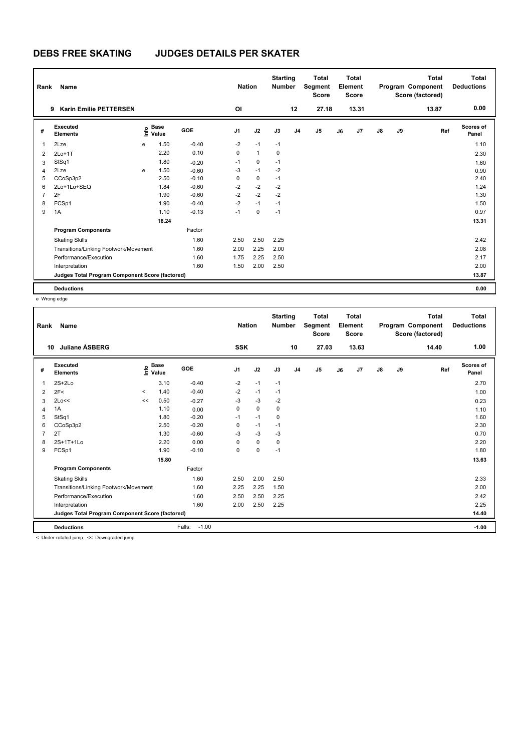| Rank           | Name                                            |    |                      |         | <b>Nation</b>  |              | <b>Starting</b><br><b>Number</b> |                | <b>Total</b><br>Segment<br><b>Score</b> |    | <b>Total</b><br>Element<br><b>Score</b> |               |    | <b>Total</b><br>Program Component<br>Score (factored) | <b>Total</b><br><b>Deductions</b> |
|----------------|-------------------------------------------------|----|----------------------|---------|----------------|--------------|----------------------------------|----------------|-----------------------------------------|----|-----------------------------------------|---------------|----|-------------------------------------------------------|-----------------------------------|
|                | <b>Karin Emilie PETTERSEN</b><br>9              |    |                      |         | O <sub>l</sub> |              |                                  | 12             | 27.18                                   |    | 13.31                                   |               |    | 13.87                                                 | 0.00                              |
| #              | Executed<br><b>Elements</b>                     | ۴o | <b>Base</b><br>Value | GOE     | J <sub>1</sub> | J2           | J3                               | J <sub>4</sub> | J5                                      | J6 | J <sub>7</sub>                          | $\mathsf{J}8$ | J9 | Ref                                                   | Scores of<br>Panel                |
| $\mathbf 1$    | 2Lze                                            | e  | 1.50                 | $-0.40$ | $-2$           | $-1$         | $-1$                             |                |                                         |    |                                         |               |    |                                                       | 1.10                              |
| $\overline{2}$ | $2Lo+1T$                                        |    | 2.20                 | 0.10    | 0              | $\mathbf{1}$ | $\mathbf 0$                      |                |                                         |    |                                         |               |    |                                                       | 2.30                              |
| 3              | StSq1                                           |    | 1.80                 | $-0.20$ | $-1$           | $\mathbf 0$  | $-1$                             |                |                                         |    |                                         |               |    |                                                       | 1.60                              |
| $\overline{4}$ | 2Lze                                            | e  | 1.50                 | $-0.60$ | $-3$           | $-1$         | $-2$                             |                |                                         |    |                                         |               |    |                                                       | 0.90                              |
| 5              | CCoSp3p2                                        |    | 2.50                 | $-0.10$ | 0              | $\mathbf 0$  | $-1$                             |                |                                         |    |                                         |               |    |                                                       | 2.40                              |
| 6              | 2Lo+1Lo+SEQ                                     |    | 1.84                 | $-0.60$ | $-2$           | $-2$         | $-2$                             |                |                                         |    |                                         |               |    |                                                       | 1.24                              |
| $\overline{7}$ | 2F                                              |    | 1.90                 | $-0.60$ | $-2$           | $-2$         | $-2$                             |                |                                         |    |                                         |               |    |                                                       | 1.30                              |
| 8              | FCSp1                                           |    | 1.90                 | $-0.40$ | $-2$           | $-1$         | $-1$                             |                |                                         |    |                                         |               |    |                                                       | 1.50                              |
| 9              | 1A                                              |    | 1.10                 | $-0.13$ | $-1$           | $\mathbf 0$  | $-1$                             |                |                                         |    |                                         |               |    |                                                       | 0.97                              |
|                |                                                 |    | 16.24                |         |                |              |                                  |                |                                         |    |                                         |               |    |                                                       | 13.31                             |
|                | <b>Program Components</b>                       |    |                      | Factor  |                |              |                                  |                |                                         |    |                                         |               |    |                                                       |                                   |
|                | <b>Skating Skills</b>                           |    |                      | 1.60    | 2.50           | 2.50         | 2.25                             |                |                                         |    |                                         |               |    |                                                       | 2.42                              |
|                | Transitions/Linking Footwork/Movement           |    |                      | 1.60    | 2.00           | 2.25         | 2.00                             |                |                                         |    |                                         |               |    |                                                       | 2.08                              |
|                | Performance/Execution                           |    |                      | 1.60    | 1.75           | 2.25         | 2.50                             |                |                                         |    |                                         |               |    |                                                       | 2.17                              |
|                | Interpretation                                  |    |                      | 1.60    | 1.50           | 2.00         | 2.50                             |                |                                         |    |                                         |               |    |                                                       | 2.00                              |
|                | Judges Total Program Component Score (factored) |    |                      |         |                |              |                                  |                |                                         |    |                                         |               |    |                                                       | 13.87                             |
|                | <b>Deductions</b>                               |    |                      |         |                |              |                                  |                |                                         |    |                                         |               |    |                                                       | 0.00                              |

e Wrong edge

| Rank | Name                                            |         |                                  |                   | <b>Nation</b>  |             | <b>Starting</b><br><b>Number</b> |                | <b>Total</b><br>Segment<br><b>Score</b> |    | <b>Total</b><br>Element<br><b>Score</b> |               |    | <b>Total</b><br>Program Component<br>Score (factored) | Total<br><b>Deductions</b> |
|------|-------------------------------------------------|---------|----------------------------------|-------------------|----------------|-------------|----------------------------------|----------------|-----------------------------------------|----|-----------------------------------------|---------------|----|-------------------------------------------------------|----------------------------|
| 10   | <b>Juliane ASBERG</b>                           |         |                                  |                   | <b>SSK</b>     |             |                                  | 10             | 27.03                                   |    | 13.63                                   |               |    | 14.40                                                 | 1.00                       |
| #    | Executed<br><b>Elements</b>                     |         | <b>Base</b><br>o Base<br>⊆ Value | <b>GOE</b>        | J <sub>1</sub> | J2          | J3                               | J <sub>4</sub> | J5                                      | J6 | J7                                      | $\mathsf{J}8$ | J9 | Ref                                                   | Scores of<br>Panel         |
| 1    | $2S+2Lo$                                        |         | 3.10                             | $-0.40$           | $-2$           | $-1$        | $-1$                             |                |                                         |    |                                         |               |    |                                                       | 2.70                       |
| 2    | 2F<                                             | $\prec$ | 1.40                             | $-0.40$           | $-2$           | $-1$        | $-1$                             |                |                                         |    |                                         |               |    |                                                       | 1.00                       |
| 3    | 2Lo<<                                           | <<      | 0.50                             | $-0.27$           | $-3$           | $-3$        | $-2$                             |                |                                         |    |                                         |               |    |                                                       | 0.23                       |
| 4    | 1A                                              |         | 1.10                             | 0.00              | 0              | $\mathbf 0$ | 0                                |                |                                         |    |                                         |               |    |                                                       | 1.10                       |
| 5    | StSq1                                           |         | 1.80                             | $-0.20$           | $-1$           | $-1$        | 0                                |                |                                         |    |                                         |               |    |                                                       | 1.60                       |
| 6    | CCoSp3p2                                        |         | 2.50                             | $-0.20$           | $\Omega$       | $-1$        | $-1$                             |                |                                         |    |                                         |               |    |                                                       | 2.30                       |
|      | 2T                                              |         | 1.30                             | $-0.60$           | -3             | $-3$        | $-3$                             |                |                                         |    |                                         |               |    |                                                       | 0.70                       |
| 8    | 2S+1T+1Lo                                       |         | 2.20                             | 0.00              | 0              | $\mathbf 0$ | 0                                |                |                                         |    |                                         |               |    |                                                       | 2.20                       |
| 9    | FCSp1                                           |         | 1.90                             | $-0.10$           | $\Omega$       | $\mathbf 0$ | $-1$                             |                |                                         |    |                                         |               |    |                                                       | 1.80                       |
|      |                                                 |         | 15.80                            |                   |                |             |                                  |                |                                         |    |                                         |               |    |                                                       | 13.63                      |
|      | <b>Program Components</b>                       |         |                                  | Factor            |                |             |                                  |                |                                         |    |                                         |               |    |                                                       |                            |
|      | <b>Skating Skills</b>                           |         |                                  | 1.60              | 2.50           | 2.00        | 2.50                             |                |                                         |    |                                         |               |    |                                                       | 2.33                       |
|      | Transitions/Linking Footwork/Movement           |         |                                  | 1.60              | 2.25           | 2.25        | 1.50                             |                |                                         |    |                                         |               |    |                                                       | 2.00                       |
|      | Performance/Execution                           |         |                                  | 1.60              | 2.50           | 2.50        | 2.25                             |                |                                         |    |                                         |               |    |                                                       | 2.42                       |
|      | Interpretation                                  |         |                                  | 1.60              | 2.00           | 2.50        | 2.25                             |                |                                         |    |                                         |               |    |                                                       | 2.25                       |
|      | Judges Total Program Component Score (factored) |         |                                  |                   |                |             |                                  |                |                                         |    |                                         |               |    |                                                       | 14.40                      |
|      | <b>Deductions</b>                               |         |                                  | $-1.00$<br>Falls: |                |             |                                  |                |                                         |    |                                         |               |    |                                                       | $-1.00$                    |
|      | < Under-rotated jumn << Downgraded jumn         |         |                                  |                   |                |             |                                  |                |                                         |    |                                         |               |    |                                                       |                            |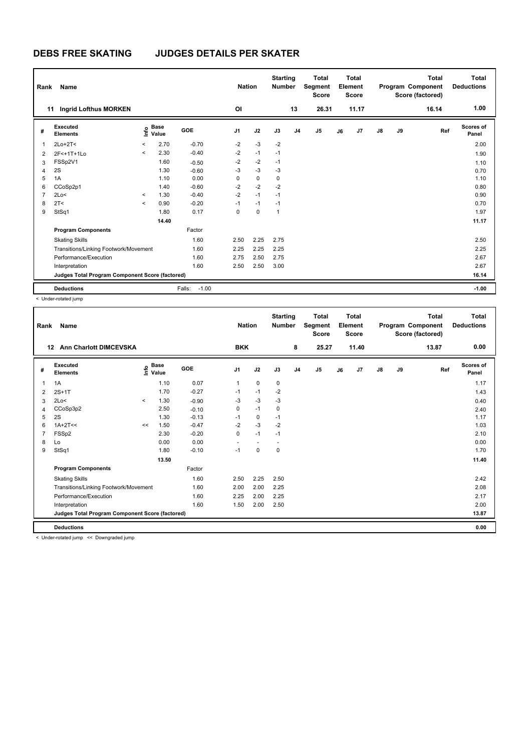| Rank           | Name                                            |         |                      |                   | <b>Nation</b>  |             | <b>Starting</b><br><b>Number</b> |                | <b>Total</b><br>Segment<br><b>Score</b> |    | <b>Total</b><br>Element<br><b>Score</b> |               |    | <b>Total</b><br>Program Component<br>Score (factored) | Total<br><b>Deductions</b> |
|----------------|-------------------------------------------------|---------|----------------------|-------------------|----------------|-------------|----------------------------------|----------------|-----------------------------------------|----|-----------------------------------------|---------------|----|-------------------------------------------------------|----------------------------|
| 11             | Ingrid Lofthus MORKEN                           |         |                      |                   | O <sub>l</sub> |             |                                  | 13             | 26.31                                   |    | 11.17                                   |               |    | 16.14                                                 | 1.00                       |
| #              | Executed<br><b>Elements</b>                     | lnfo    | <b>Base</b><br>Value | <b>GOE</b>        | J <sub>1</sub> | J2          | J3                               | J <sub>4</sub> | J5                                      | J6 | J7                                      | $\mathsf{J}8$ | J9 | Ref                                                   | Scores of<br>Panel         |
| $\overline{1}$ | $2Lo+2T<$                                       | $\prec$ | 2.70                 | $-0.70$           | $-2$           | $-3$        | $-2$                             |                |                                         |    |                                         |               |    |                                                       | 2.00                       |
| 2              | 2F<+1T+1Lo                                      | $\prec$ | 2.30                 | $-0.40$           | $-2$           | $-1$        | $-1$                             |                |                                         |    |                                         |               |    |                                                       | 1.90                       |
| 3              | FSSp2V1                                         |         | 1.60                 | $-0.50$           | $-2$           | $-2$        | $-1$                             |                |                                         |    |                                         |               |    |                                                       | 1.10                       |
| 4              | 2S                                              |         | 1.30                 | $-0.60$           | $-3$           | $-3$        | $-3$                             |                |                                         |    |                                         |               |    |                                                       | 0.70                       |
| 5              | 1A                                              |         | 1.10                 | 0.00              | 0              | $\mathbf 0$ | $\mathbf 0$                      |                |                                         |    |                                         |               |    |                                                       | 1.10                       |
| 6              | CCoSp2p1                                        |         | 1.40                 | $-0.60$           | $-2$           | $-2$        | $-2$                             |                |                                         |    |                                         |               |    |                                                       | 0.80                       |
| $\overline{7}$ | 2Lo<                                            | $\prec$ | 1.30                 | $-0.40$           | $-2$           | $-1$        | $-1$                             |                |                                         |    |                                         |               |    |                                                       | 0.90                       |
| 8              | 2T <                                            | $\prec$ | 0.90                 | $-0.20$           | $-1$           | $-1$        | $-1$                             |                |                                         |    |                                         |               |    |                                                       | 0.70                       |
| 9              | StSq1                                           |         | 1.80                 | 0.17              | 0              | $\mathbf 0$ | $\mathbf{1}$                     |                |                                         |    |                                         |               |    |                                                       | 1.97                       |
|                |                                                 |         | 14.40                |                   |                |             |                                  |                |                                         |    |                                         |               |    |                                                       | 11.17                      |
|                | <b>Program Components</b>                       |         |                      | Factor            |                |             |                                  |                |                                         |    |                                         |               |    |                                                       |                            |
|                | <b>Skating Skills</b>                           |         |                      | 1.60              | 2.50           | 2.25        | 2.75                             |                |                                         |    |                                         |               |    |                                                       | 2.50                       |
|                | Transitions/Linking Footwork/Movement           |         |                      | 1.60              | 2.25           | 2.25        | 2.25                             |                |                                         |    |                                         |               |    |                                                       | 2.25                       |
|                | Performance/Execution                           |         |                      | 1.60              | 2.75           | 2.50        | 2.75                             |                |                                         |    |                                         |               |    |                                                       | 2.67                       |
|                | Interpretation                                  |         |                      | 1.60              | 2.50           | 2.50        | 3.00                             |                |                                         |    |                                         |               |    |                                                       | 2.67                       |
|                | Judges Total Program Component Score (factored) |         |                      |                   |                |             |                                  |                |                                         |    |                                         |               |    |                                                       | 16.14                      |
|                | <b>Deductions</b>                               |         |                      | $-1.00$<br>Falls: |                |             |                                  |                |                                         |    |                                         |               |    |                                                       | $-1.00$                    |

< Under-rotated jump

| Rank | <b>Name</b>                                     |         |                   |            | <b>Nation</b>  |                          | <b>Starting</b><br><b>Number</b> |                | <b>Total</b><br>Segment<br><b>Score</b> |    | <b>Total</b><br>Element<br><b>Score</b> |               |    | <b>Total</b><br>Program Component<br>Score (factored) | Total<br><b>Deductions</b> |
|------|-------------------------------------------------|---------|-------------------|------------|----------------|--------------------------|----------------------------------|----------------|-----------------------------------------|----|-----------------------------------------|---------------|----|-------------------------------------------------------|----------------------------|
| 12   | <b>Ann Charlott DIMCEVSKA</b>                   |         |                   |            | <b>BKK</b>     |                          |                                  | 8              | 25.27                                   |    | 11.40                                   |               |    | 13.87                                                 | 0.00                       |
| #    | Executed<br><b>Elements</b>                     |         | 은 Base<br>트 Value | <b>GOE</b> | J <sub>1</sub> | J2                       | J3                               | J <sub>4</sub> | J5                                      | J6 | J7                                      | $\mathsf{J}8$ | J9 | Ref                                                   | <b>Scores of</b><br>Panel  |
| 1    | 1A                                              |         | 1.10              | 0.07       | 1              | $\mathbf 0$              | 0                                |                |                                         |    |                                         |               |    |                                                       | 1.17                       |
| 2    | $2S+1T$                                         |         | 1.70              | $-0.27$    | $-1$           | $-1$                     | $-2$                             |                |                                         |    |                                         |               |    |                                                       | 1.43                       |
| 3    | 2Lo<                                            | $\prec$ | 1.30              | $-0.90$    | $-3$           | $-3$                     | $-3$                             |                |                                         |    |                                         |               |    |                                                       | 0.40                       |
| 4    | CCoSp3p2                                        |         | 2.50              | $-0.10$    | 0              | $-1$                     | $\mathbf 0$                      |                |                                         |    |                                         |               |    |                                                       | 2.40                       |
| 5    | 2S                                              |         | 1.30              | $-0.13$    | $-1$           | 0                        | $-1$                             |                |                                         |    |                                         |               |    |                                                       | 1.17                       |
| 6    | $1A+2T<<$                                       | <<      | 1.50              | $-0.47$    | $-2$           | $-3$                     | $-2$                             |                |                                         |    |                                         |               |    |                                                       | 1.03                       |
|      | FSSp2                                           |         | 2.30              | $-0.20$    | 0              | $-1$                     | $-1$                             |                |                                         |    |                                         |               |    |                                                       | 2.10                       |
| 8    | Lo                                              |         | 0.00              | 0.00       | ÷              | $\overline{\phantom{a}}$ | $\overline{\phantom{a}}$         |                |                                         |    |                                         |               |    |                                                       | 0.00                       |
| 9    | StSq1                                           |         | 1.80              | $-0.10$    | $-1$           | $\Omega$                 | $\Omega$                         |                |                                         |    |                                         |               |    |                                                       | 1.70                       |
|      |                                                 |         | 13.50             |            |                |                          |                                  |                |                                         |    |                                         |               |    |                                                       | 11.40                      |
|      | <b>Program Components</b>                       |         |                   | Factor     |                |                          |                                  |                |                                         |    |                                         |               |    |                                                       |                            |
|      | <b>Skating Skills</b>                           |         |                   | 1.60       | 2.50           | 2.25                     | 2.50                             |                |                                         |    |                                         |               |    |                                                       | 2.42                       |
|      | Transitions/Linking Footwork/Movement           |         |                   | 1.60       | 2.00           | 2.00                     | 2.25                             |                |                                         |    |                                         |               |    |                                                       | 2.08                       |
|      | Performance/Execution                           |         |                   | 1.60       | 2.25           | 2.00                     | 2.25                             |                |                                         |    |                                         |               |    |                                                       | 2.17                       |
|      | Interpretation                                  |         |                   | 1.60       | 1.50           | 2.00                     | 2.50                             |                |                                         |    |                                         |               |    |                                                       | 2.00                       |
|      | Judges Total Program Component Score (factored) |         |                   |            |                |                          |                                  |                |                                         |    |                                         |               |    |                                                       | 13.87                      |
|      | <b>Deductions</b>                               |         |                   |            |                |                          |                                  |                |                                         |    |                                         |               |    |                                                       | 0.00                       |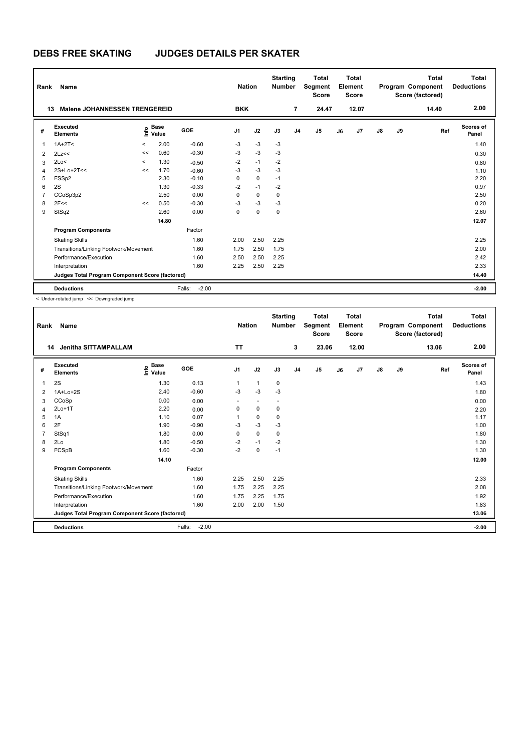| Rank           | Name                                            |         |                      |                   | <b>Nation</b>  |             | <b>Starting</b><br><b>Number</b> |                | <b>Total</b><br>Segment<br><b>Score</b> |    | Total<br>Element<br><b>Score</b> |               |    | <b>Total</b><br>Program Component<br>Score (factored) | <b>Total</b><br><b>Deductions</b> |
|----------------|-------------------------------------------------|---------|----------------------|-------------------|----------------|-------------|----------------------------------|----------------|-----------------------------------------|----|----------------------------------|---------------|----|-------------------------------------------------------|-----------------------------------|
|                | <b>Malene JOHANNESSEN TRENGEREID</b><br>13      |         |                      |                   | <b>BKK</b>     |             |                                  | $\overline{7}$ | 24.47                                   |    | 12.07                            |               |    | 14.40                                                 | 2.00                              |
| #              | Executed<br><b>Elements</b>                     | ۴o      | <b>Base</b><br>Value | GOE               | J <sub>1</sub> | J2          | J3                               | J <sub>4</sub> | J5                                      | J6 | J7                               | $\mathsf{J}8$ | J9 | Ref                                                   | Scores of<br>Panel                |
| 1              | $1A+2T2$                                        | $\,<\,$ | 2.00                 | $-0.60$           | $-3$           | $-3$        | $-3$                             |                |                                         |    |                                  |               |    |                                                       | 1.40                              |
| $\overline{2}$ | 2Lz<<                                           | <<      | 0.60                 | $-0.30$           | $-3$           | $-3$        | $-3$                             |                |                                         |    |                                  |               |    |                                                       | 0.30                              |
| 3              | 2Lo<                                            | $\prec$ | 1.30                 | $-0.50$           | $-2$           | $-1$        | $-2$                             |                |                                         |    |                                  |               |    |                                                       | 0.80                              |
| $\overline{4}$ | $2S+Lo+2T<<$                                    | <<      | 1.70                 | $-0.60$           | $-3$           | $-3$        | $-3$                             |                |                                         |    |                                  |               |    |                                                       | 1.10                              |
| 5              | FSSp2                                           |         | 2.30                 | $-0.10$           | 0              | 0           | $-1$                             |                |                                         |    |                                  |               |    |                                                       | 2.20                              |
| 6              | 2S                                              |         | 1.30                 | $-0.33$           | $-2$           | $-1$        | $-2$                             |                |                                         |    |                                  |               |    |                                                       | 0.97                              |
| $\overline{7}$ | CCoSp3p2                                        |         | 2.50                 | 0.00              | 0              | $\mathbf 0$ | 0                                |                |                                         |    |                                  |               |    |                                                       | 2.50                              |
| 8              | 2F<<                                            | <<      | 0.50                 | $-0.30$           | $-3$           | $-3$        | $-3$                             |                |                                         |    |                                  |               |    |                                                       | 0.20                              |
| 9              | StSq2                                           |         | 2.60                 | 0.00              | 0              | $\mathbf 0$ | 0                                |                |                                         |    |                                  |               |    |                                                       | 2.60                              |
|                |                                                 |         | 14.80                |                   |                |             |                                  |                |                                         |    |                                  |               |    |                                                       | 12.07                             |
|                | <b>Program Components</b>                       |         |                      | Factor            |                |             |                                  |                |                                         |    |                                  |               |    |                                                       |                                   |
|                | <b>Skating Skills</b>                           |         |                      | 1.60              | 2.00           | 2.50        | 2.25                             |                |                                         |    |                                  |               |    |                                                       | 2.25                              |
|                | Transitions/Linking Footwork/Movement           |         |                      | 1.60              | 1.75           | 2.50        | 1.75                             |                |                                         |    |                                  |               |    |                                                       | 2.00                              |
|                | Performance/Execution                           |         |                      | 1.60              | 2.50           | 2.50        | 2.25                             |                |                                         |    |                                  |               |    |                                                       | 2.42                              |
|                | Interpretation                                  |         |                      | 1.60              | 2.25           | 2.50        | 2.25                             |                |                                         |    |                                  |               |    |                                                       | 2.33                              |
|                | Judges Total Program Component Score (factored) |         |                      |                   |                |             |                                  |                |                                         |    |                                  |               |    |                                                       | 14.40                             |
|                | <b>Deductions</b>                               |         |                      | $-2.00$<br>Falls: |                |             |                                  |                |                                         |    |                                  |               |    |                                                       | $-2.00$                           |

| Rank | Name                                            |                                           |                   | <b>Nation</b>  |          | <b>Starting</b><br><b>Number</b> |                | <b>Total</b><br>Segment<br><b>Score</b> |    | <b>Total</b><br>Element<br><b>Score</b> |               |    | <b>Total</b><br>Program Component<br>Score (factored) | Total<br><b>Deductions</b> |
|------|-------------------------------------------------|-------------------------------------------|-------------------|----------------|----------|----------------------------------|----------------|-----------------------------------------|----|-----------------------------------------|---------------|----|-------------------------------------------------------|----------------------------|
|      | <b>Jenitha SITTAMPALLAM</b><br>14               |                                           |                   | <b>TT</b>      |          |                                  | 3              | 23.06                                   |    | 12.00                                   |               |    | 13.06                                                 | 2.00                       |
| #    | Executed<br><b>Elements</b>                     | $\frac{6}{5}$ Base<br>$\frac{6}{5}$ Value | <b>GOE</b>        | J <sub>1</sub> | J2       | J3                               | J <sub>4</sub> | J <sub>5</sub>                          | J6 | J7                                      | $\mathsf{J}8$ | J9 | Ref                                                   | <b>Scores of</b><br>Panel  |
| 1    | 2S                                              | 1.30                                      | 0.13              | 1              | 1        | 0                                |                |                                         |    |                                         |               |    |                                                       | 1.43                       |
| 2    | 1A+Lo+2S                                        | 2.40                                      | $-0.60$           | $-3$           | $-3$     | $-3$                             |                |                                         |    |                                         |               |    |                                                       | 1.80                       |
| 3    | CCoSp                                           | 0.00                                      | 0.00              |                |          |                                  |                |                                         |    |                                         |               |    |                                                       | 0.00                       |
| 4    | $2Lo+1T$                                        | 2.20                                      | 0.00              | 0              | 0        | 0                                |                |                                         |    |                                         |               |    |                                                       | 2.20                       |
| 5    | 1A                                              | 1.10                                      | 0.07              |                | 0        | $\mathbf 0$                      |                |                                         |    |                                         |               |    |                                                       | 1.17                       |
| 6    | 2F                                              | 1.90                                      | $-0.90$           | $-3$           | $-3$     | $-3$                             |                |                                         |    |                                         |               |    |                                                       | 1.00                       |
| 7    | StSq1                                           | 1.80                                      | 0.00              | $\Omega$       | $\Omega$ | $\mathbf 0$                      |                |                                         |    |                                         |               |    |                                                       | 1.80                       |
| 8    | 2Lo                                             | 1.80                                      | $-0.50$           | $-2$           | $-1$     | $-2$                             |                |                                         |    |                                         |               |    |                                                       | 1.30                       |
| 9    | FCSpB                                           | 1.60                                      | $-0.30$           | $-2$           | 0        | $-1$                             |                |                                         |    |                                         |               |    |                                                       | 1.30                       |
|      |                                                 | 14.10                                     |                   |                |          |                                  |                |                                         |    |                                         |               |    |                                                       | 12.00                      |
|      | <b>Program Components</b>                       |                                           | Factor            |                |          |                                  |                |                                         |    |                                         |               |    |                                                       |                            |
|      | <b>Skating Skills</b>                           |                                           | 1.60              | 2.25           | 2.50     | 2.25                             |                |                                         |    |                                         |               |    |                                                       | 2.33                       |
|      | Transitions/Linking Footwork/Movement           |                                           | 1.60              | 1.75           | 2.25     | 2.25                             |                |                                         |    |                                         |               |    |                                                       | 2.08                       |
|      | Performance/Execution                           |                                           | 1.60              | 1.75           | 2.25     | 1.75                             |                |                                         |    |                                         |               |    |                                                       | 1.92                       |
|      | Interpretation                                  |                                           | 1.60              | 2.00           | 2.00     | 1.50                             |                |                                         |    |                                         |               |    |                                                       | 1.83                       |
|      | Judges Total Program Component Score (factored) |                                           |                   |                |          |                                  |                |                                         |    |                                         |               |    |                                                       | 13.06                      |
|      | <b>Deductions</b>                               |                                           | $-2.00$<br>Falls: |                |          |                                  |                |                                         |    |                                         |               |    |                                                       | $-2.00$                    |
|      |                                                 |                                           |                   |                |          |                                  |                |                                         |    |                                         |               |    |                                                       |                            |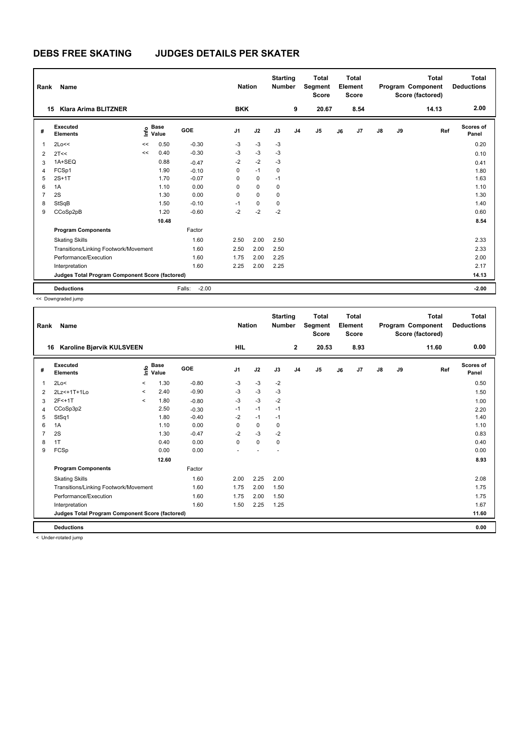| Rank           | Name                                            |    |                      |                   | <b>Nation</b>  |             | <b>Starting</b><br><b>Number</b> |                | <b>Total</b><br>Segment<br><b>Score</b> |    | <b>Total</b><br>Element<br><b>Score</b> |               |    | <b>Total</b><br>Program Component<br>Score (factored) | Total<br><b>Deductions</b> |
|----------------|-------------------------------------------------|----|----------------------|-------------------|----------------|-------------|----------------------------------|----------------|-----------------------------------------|----|-----------------------------------------|---------------|----|-------------------------------------------------------|----------------------------|
|                | <b>Klara Arima BLITZNER</b><br>15               |    |                      |                   | <b>BKK</b>     |             |                                  | 9              | 20.67                                   |    | 8.54                                    |               |    | 14.13                                                 | 2.00                       |
| #              | Executed<br><b>Elements</b>                     | ۴  | <b>Base</b><br>Value | GOE               | J <sub>1</sub> | J2          | J3                               | J <sub>4</sub> | J5                                      | J6 | J7                                      | $\mathsf{J}8$ | J9 | Ref                                                   | Scores of<br>Panel         |
| $\mathbf 1$    | 2Lo<<                                           | << | 0.50                 | $-0.30$           | $-3$           | $-3$        | $-3$                             |                |                                         |    |                                         |               |    |                                                       | 0.20                       |
| $\overline{2}$ | 2T<<                                            | << | 0.40                 | $-0.30$           | $-3$           | $-3$        | $-3$                             |                |                                         |    |                                         |               |    |                                                       | 0.10                       |
| 3              | 1A+SEQ                                          |    | 0.88                 | $-0.47$           | $-2$           | $-2$        | $-3$                             |                |                                         |    |                                         |               |    |                                                       | 0.41                       |
| $\overline{4}$ | FCSp1                                           |    | 1.90                 | $-0.10$           | 0              | $-1$        | 0                                |                |                                         |    |                                         |               |    |                                                       | 1.80                       |
| 5              | $2S+1T$                                         |    | 1.70                 | $-0.07$           | 0              | 0           | $-1$                             |                |                                         |    |                                         |               |    |                                                       | 1.63                       |
| 6              | 1A                                              |    | 1.10                 | 0.00              | 0              | $\mathbf 0$ | 0                                |                |                                         |    |                                         |               |    |                                                       | 1.10                       |
| 7              | 2S                                              |    | 1.30                 | 0.00              | 0              | $\mathbf 0$ | 0                                |                |                                         |    |                                         |               |    |                                                       | 1.30                       |
| 8              | StSqB                                           |    | 1.50                 | $-0.10$           | $-1$           | $\mathbf 0$ | 0                                |                |                                         |    |                                         |               |    |                                                       | 1.40                       |
| 9              | CCoSp2pB                                        |    | 1.20                 | $-0.60$           | $-2$           | $-2$        | $-2$                             |                |                                         |    |                                         |               |    |                                                       | 0.60                       |
|                |                                                 |    | 10.48                |                   |                |             |                                  |                |                                         |    |                                         |               |    |                                                       | 8.54                       |
|                | <b>Program Components</b>                       |    |                      | Factor            |                |             |                                  |                |                                         |    |                                         |               |    |                                                       |                            |
|                | <b>Skating Skills</b>                           |    |                      | 1.60              | 2.50           | 2.00        | 2.50                             |                |                                         |    |                                         |               |    |                                                       | 2.33                       |
|                | Transitions/Linking Footwork/Movement<br>1.60   |    |                      |                   | 2.50           | 2.00        | 2.50                             |                |                                         |    |                                         |               |    |                                                       | 2.33                       |
|                | Performance/Execution                           |    |                      | 1.60              | 1.75           | 2.00        | 2.25                             |                |                                         |    |                                         |               |    |                                                       | 2.00                       |
|                | Interpretation                                  |    |                      | 1.60              | 2.25           | 2.00        | 2.25                             |                |                                         |    |                                         |               |    |                                                       | 2.17                       |
|                | Judges Total Program Component Score (factored) |    |                      |                   |                |             |                                  |                |                                         |    |                                         |               |    |                                                       | 14.13                      |
|                | <b>Deductions</b>                               |    |                      | $-2.00$<br>Falls: |                |             |                                  |                |                                         |    |                                         |               |    |                                                       | $-2.00$                    |

<< Downgraded jump

| Rank | Name                                            |          |                      |            | <b>Nation</b>  |             | <b>Starting</b><br><b>Number</b> |                | <b>Total</b><br>Segment<br><b>Score</b> |    | <b>Total</b><br>Element<br><b>Score</b> |               |    | <b>Total</b><br>Program Component<br>Score (factored) | <b>Total</b><br><b>Deductions</b> |
|------|-------------------------------------------------|----------|----------------------|------------|----------------|-------------|----------------------------------|----------------|-----------------------------------------|----|-----------------------------------------|---------------|----|-------------------------------------------------------|-----------------------------------|
| 16   | <b>Karoline Biørvik KULSVEEN</b>                |          |                      |            | <b>HIL</b>     |             |                                  | $\mathbf{2}$   | 20.53                                   |    | 8.93                                    |               |    | 11.60                                                 | 0.00                              |
| #    | Executed<br><b>Elements</b>                     | ١nfo     | <b>Base</b><br>Value | <b>GOE</b> | J <sub>1</sub> | J2          | J3                               | J <sub>4</sub> | J5                                      | J6 | J <sub>7</sub>                          | $\mathsf{J}8$ | J9 | Ref                                                   | <b>Scores of</b><br>Panel         |
| 1    | 2Lo<                                            | $\hat{}$ | 1.30                 | $-0.80$    | $-3$           | $-3$        | $-2$                             |                |                                         |    |                                         |               |    |                                                       | 0.50                              |
| 2    | 2Lz <+ 1T + 1Lo                                 | $\prec$  | 2.40                 | $-0.90$    | $-3$           | $-3$        | -3                               |                |                                         |    |                                         |               |    |                                                       | 1.50                              |
| 3    | 2F<+1T                                          | $\prec$  | 1.80                 | $-0.80$    | -3             | $-3$        | $-2$                             |                |                                         |    |                                         |               |    |                                                       | 1.00                              |
| 4    | CCoSp3p2                                        |          | 2.50                 | $-0.30$    | $-1$           | $-1$        | $-1$                             |                |                                         |    |                                         |               |    |                                                       | 2.20                              |
| 5    | StSq1                                           |          | 1.80                 | $-0.40$    | $-2$           | $-1$        | $-1$                             |                |                                         |    |                                         |               |    |                                                       | 1.40                              |
| 6    | 1A                                              |          | 1.10                 | 0.00       | $\Omega$       | 0           | 0                                |                |                                         |    |                                         |               |    |                                                       | 1.10                              |
| 7    | 2S                                              |          | 1.30                 | $-0.47$    | $-2$           | $-3$        | $-2$                             |                |                                         |    |                                         |               |    |                                                       | 0.83                              |
| 8    | 1T                                              |          | 0.40                 | 0.00       | $\Omega$       | $\mathbf 0$ | 0                                |                |                                         |    |                                         |               |    |                                                       | 0.40                              |
| 9    | FCSp                                            |          | 0.00                 | 0.00       |                |             |                                  |                |                                         |    |                                         |               |    |                                                       | 0.00                              |
|      |                                                 |          | 12.60                |            |                |             |                                  |                |                                         |    |                                         |               |    |                                                       | 8.93                              |
|      | <b>Program Components</b>                       |          |                      | Factor     |                |             |                                  |                |                                         |    |                                         |               |    |                                                       |                                   |
|      | <b>Skating Skills</b>                           |          |                      | 1.60       | 2.00           | 2.25        | 2.00                             |                |                                         |    |                                         |               |    |                                                       | 2.08                              |
|      | Transitions/Linking Footwork/Movement           |          |                      | 1.60       | 1.75           | 2.00        | 1.50                             |                |                                         |    |                                         |               |    |                                                       | 1.75                              |
|      | Performance/Execution                           |          |                      | 1.60       | 1.75           | 2.00        | 1.50                             |                |                                         |    |                                         |               |    |                                                       | 1.75                              |
|      | Interpretation                                  |          |                      | 1.60       | 1.50           | 2.25        | 1.25                             |                |                                         |    |                                         |               |    |                                                       | 1.67                              |
|      | Judges Total Program Component Score (factored) |          |                      |            |                |             |                                  |                |                                         |    |                                         |               |    |                                                       | 11.60                             |
|      | <b>Deductions</b>                               |          |                      |            |                |             |                                  |                |                                         |    |                                         |               |    |                                                       | 0.00                              |

< Under-rotated jump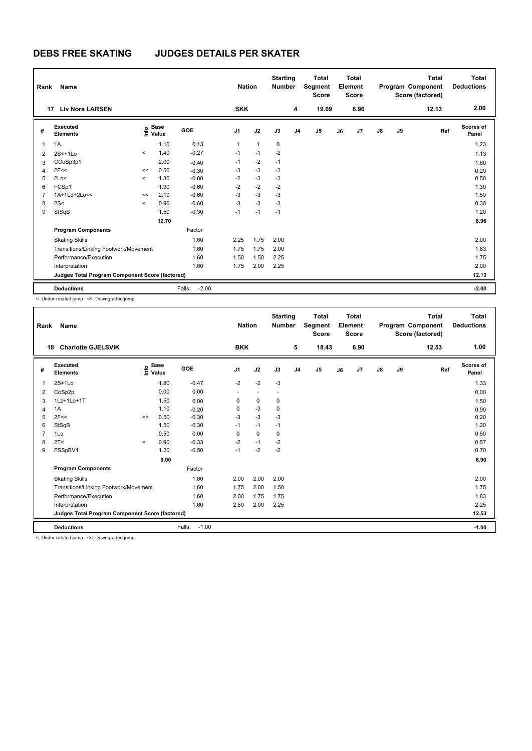| Rank           | Name                                            |         |                      |                   | <b>Nation</b>  |              | <b>Starting</b><br><b>Number</b> |                | <b>Total</b><br>Segment<br><b>Score</b> |    | <b>Total</b><br>Element<br><b>Score</b> |               |    | <b>Total</b><br>Program Component<br>Score (factored) | Total<br><b>Deductions</b> |
|----------------|-------------------------------------------------|---------|----------------------|-------------------|----------------|--------------|----------------------------------|----------------|-----------------------------------------|----|-----------------------------------------|---------------|----|-------------------------------------------------------|----------------------------|
| 17             | <b>Liv Nora LARSEN</b>                          |         |                      |                   | <b>SKK</b>     |              |                                  | 4              | 19.09                                   |    | 8.96                                    |               |    | 12.13                                                 | 2.00                       |
| #              | Executed<br><b>Elements</b>                     | ۴o      | <b>Base</b><br>Value | <b>GOE</b>        | J <sub>1</sub> | J2           | J3                               | J <sub>4</sub> | J5                                      | J6 | J7                                      | $\mathsf{J}8$ | J9 | Ref                                                   | Scores of<br>Panel         |
| $\overline{1}$ | 1A                                              |         | 1.10                 | 0.13              | 1              | $\mathbf{1}$ | $\mathbf 0$                      |                |                                         |    |                                         |               |    |                                                       | 1.23                       |
| $\overline{2}$ | $2S<+1Lo$                                       | $\prec$ | 1.40                 | $-0.27$           | $-1$           | $-1$         | $-2$                             |                |                                         |    |                                         |               |    |                                                       | 1.13                       |
| 3              | CCoSp3p1                                        |         | 2.00                 | $-0.40$           | $-1$           | $-2$         | $-1$                             |                |                                         |    |                                         |               |    |                                                       | 1.60                       |
| $\overline{4}$ | 2F<<                                            | <<      | 0.50                 | $-0.30$           | $-3$           | $-3$         | $-3$                             |                |                                         |    |                                         |               |    |                                                       | 0.20                       |
| 5              | 2Lo<                                            | $\prec$ | 1.30                 | $-0.80$           | $-2$           | $-3$         | $-3$                             |                |                                         |    |                                         |               |    |                                                       | 0.50                       |
| 6              | FCSp1                                           |         | 1.90                 | $-0.60$           | $-2$           | $-2$         | $-2$                             |                |                                         |    |                                         |               |    |                                                       | 1.30                       |
| $\overline{7}$ | 1A+1Lo+2Lo<<                                    | <<      | 2.10                 | $-0.60$           | $-3$           | $-3$         | $-3$                             |                |                                         |    |                                         |               |    |                                                       | 1.50                       |
| 8              | 2S<                                             | $\prec$ | 0.90                 | $-0.60$           | $-3$           | $-3$         | $-3$                             |                |                                         |    |                                         |               |    |                                                       | 0.30                       |
| 9              | StSqB                                           |         | 1.50                 | $-0.30$           | $-1$           | $-1$         | $-1$                             |                |                                         |    |                                         |               |    |                                                       | 1.20                       |
|                |                                                 |         | 12.70                |                   |                |              |                                  |                |                                         |    |                                         |               |    |                                                       | 8.96                       |
|                | <b>Program Components</b>                       |         |                      | Factor            |                |              |                                  |                |                                         |    |                                         |               |    |                                                       |                            |
|                | <b>Skating Skills</b>                           |         |                      | 1.60              | 2.25           | 1.75         | 2.00                             |                |                                         |    |                                         |               |    |                                                       | 2.00                       |
|                | Transitions/Linking Footwork/Movement           |         |                      | 1.60              | 1.75           | 1.75         | 2.00                             |                |                                         |    |                                         |               |    |                                                       | 1.83                       |
|                | Performance/Execution<br>1.60                   |         |                      |                   | 1.50           | 1.50         | 2.25                             |                |                                         |    |                                         |               |    |                                                       | 1.75                       |
|                | Interpretation                                  |         |                      | 1.60              | 1.75           | 2.00         | 2.25                             |                |                                         |    |                                         |               |    |                                                       | 2.00                       |
|                | Judges Total Program Component Score (factored) |         |                      |                   |                |              |                                  |                |                                         |    |                                         |               |    |                                                       | 12.13                      |
|                | <b>Deductions</b>                               |         |                      | $-2.00$<br>Falls: |                |              |                                  |                |                                         |    |                                         |               |    |                                                       | $-2.00$                    |

< Under-rotated jump << Downgraded jump

| Rank           | Name                                            |       |                                  |                   | <b>Nation</b>  |      | <b>Starting</b><br><b>Number</b> |                | <b>Total</b><br>Segment<br><b>Score</b> |    | <b>Total</b><br>Element<br><b>Score</b> |               |    | <b>Total</b><br>Program Component<br>Score (factored) | <b>Total</b><br><b>Deductions</b> |
|----------------|-------------------------------------------------|-------|----------------------------------|-------------------|----------------|------|----------------------------------|----------------|-----------------------------------------|----|-----------------------------------------|---------------|----|-------------------------------------------------------|-----------------------------------|
| 18             | <b>Charlotte GJELSVIK</b>                       |       |                                  |                   | <b>BKK</b>     |      |                                  | 5              | 18.43                                   |    | 6.90                                    |               |    | 12.53                                                 | 1.00                              |
| #              | Executed<br><b>Elements</b>                     |       | <b>Base</b><br>o Base<br>⊆ Value | GOE               | J <sub>1</sub> | J2   | J3                               | J <sub>4</sub> | J5                                      | J6 | J7                                      | $\mathsf{J}8$ | J9 | Ref                                                   | <b>Scores of</b><br>Panel         |
| 1              | $2S+1Lo$                                        |       | 1.80                             | $-0.47$           | $-2$           | $-2$ | $-3$                             |                |                                         |    |                                         |               |    |                                                       | 1.33                              |
| 2              | CoSp2p                                          |       | 0.00                             | 0.00              |                |      |                                  |                |                                         |    |                                         |               |    |                                                       | 0.00                              |
| 3              | 1Lz+1Lo+1T                                      |       | 1.50                             | 0.00              | 0              | 0    | 0                                |                |                                         |    |                                         |               |    |                                                       | 1.50                              |
| 4              | 1A                                              |       | 1.10                             | $-0.20$           | 0              | $-3$ | $\mathbf 0$                      |                |                                         |    |                                         |               |    |                                                       | 0.90                              |
| 5              | 2F<<                                            | <<    | 0.50                             | $-0.30$           | $-3$           | $-3$ | $-3$                             |                |                                         |    |                                         |               |    |                                                       | 0.20                              |
| 6              | StSqB                                           |       | 1.50                             | $-0.30$           | $-1$           | $-1$ | $-1$                             |                |                                         |    |                                         |               |    |                                                       | 1.20                              |
| $\overline{7}$ | 1Lo                                             |       | 0.50                             | 0.00              | $\mathbf 0$    | 0    | $\mathbf 0$                      |                |                                         |    |                                         |               |    |                                                       | 0.50                              |
| 8              | 2T <                                            | $\,<$ | 0.90                             | $-0.33$           | $-2$           | $-1$ | $-2$                             |                |                                         |    |                                         |               |    |                                                       | 0.57                              |
| 9              | FSSpBV1                                         |       | 1.20                             | $-0.50$           | $-1$           | $-2$ | $-2$                             |                |                                         |    |                                         |               |    |                                                       | 0.70                              |
|                |                                                 |       | 9.00                             |                   |                |      |                                  |                |                                         |    |                                         |               |    |                                                       | 6.90                              |
|                | <b>Program Components</b>                       |       |                                  | Factor            |                |      |                                  |                |                                         |    |                                         |               |    |                                                       |                                   |
|                | <b>Skating Skills</b>                           |       |                                  | 1.60              | 2.00           | 2.00 | 2.00                             |                |                                         |    |                                         |               |    |                                                       | 2.00                              |
|                | Transitions/Linking Footwork/Movement           |       |                                  | 1.60              | 1.75           | 2.00 | 1.50                             |                |                                         |    |                                         |               |    |                                                       | 1.75                              |
|                | Performance/Execution<br>1.60                   |       |                                  |                   |                | 1.75 | 1.75                             |                |                                         |    |                                         |               |    |                                                       | 1.83                              |
|                | Interpretation                                  |       |                                  | 1.60              | 2.00<br>2.50   | 2.00 | 2.25                             |                |                                         |    |                                         |               |    |                                                       | 2.25                              |
|                | Judges Total Program Component Score (factored) |       |                                  |                   |                |      |                                  |                |                                         |    |                                         |               |    |                                                       | 12.53                             |
|                | <b>Deductions</b>                               |       |                                  | Falls:<br>$-1.00$ |                |      |                                  |                |                                         |    |                                         |               |    |                                                       | $-1.00$                           |
|                | a Heder retated irons as Deumareded irons       |       |                                  |                   |                |      |                                  |                |                                         |    |                                         |               |    |                                                       |                                   |